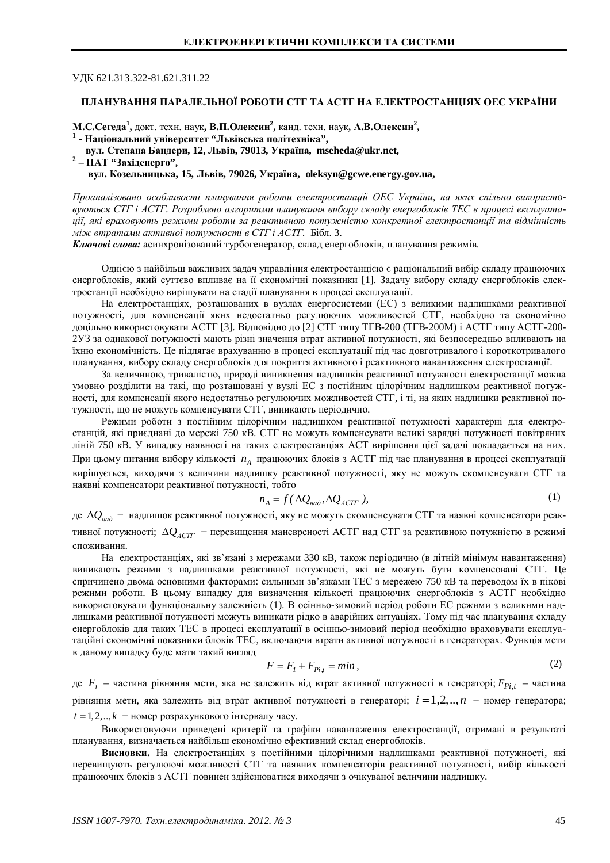## УДК 621.313.322-81.621.311.22

## ПЛАНУВАННЯ ПАРАЛЕЛЬНОЇ РОБОТИ СТГ ТА АСТГ НА ЕЛЕКТРОСТАНШЯХ ОЕС УКРАЇНИ

**М.С.Сегеда<sup>1</sup>, докт. техн. наук, В.П.Олексин<sup>2</sup>, канд. техн. наук, А<b>.В.Олексин**<sup>2</sup>, <sup>1</sup> - Національний університет "Львівська політехніка",

 **ɜɭɥ. ɋɬɟɩɚɧɚȻɚɧɞɟɪɢ, 12, Ʌɶɜɿɜ, 79013, ɍɤɪɚʀɧɚ, [mseheda@ukr.net](mailto:mseheda:@ukr.net),**

<sup>2</sup> – ПАТ "Західенерго",

 **вул.** Козельницька, 15, Львів, 79026, Україна, [oleksyn@gcwe.energy.gov.ua](mailto:oleksyn:@gcwe.energy.gov.ua),

Проаналізовано особливості планування роботи електростанцій ОЕС України, на яких спільно використо*ɜɭɸɬɶɫɹɋɌȽɿȺɋɌȽ. ɊɨɡɪɨɛɥɟɧɨɚɥɝɨɪɢɬɦɢɩɥɚɧɭɜɚɧɧɹɜɢɛɨɪɭɫɤɥɚɞɭɟɧɟɪɝɨɛɥɨɤɿɜɌȿɋɜɩɪɨɰɟɫɿɟɤɫɩɥɭɚɬɚ*иії, які враховують режими роботи за реактивною потужністю конкретної електростаниії та відмінність *між втратами активної потужності в СТГ і АСТГ.* Бібл. 3.

Ключові слова: асинхронізований турбогенератор, склад енергоблоків, планування режимів.

Однією з найбільш важливих задач управління електростанцією є раціональний вибір складу працюючих енергоблоків, який суттєво впливає на її економічні показники [1]. Задачу вибору складу енергоблоків електростанції необхідно вирішувати на стадії планування в процесі експлуатації.

На електростанціях, розташованих в вузлах енергосистеми (ЕС) з великими надлишками реактивної потужності, для компенсації яких недостатньо регулюючих можливостей СТГ, необхідно та економічно доцільно використовувати АСТГ [3]. Відповідно до [2] СТГ типу ТГВ-200 (ТГВ-200М) і АСТГ типу АСТГ-200-2УЗ за однакової потужності мають різні значення втрат активної потужності, які безпосередньо впливають на їхню економічність. Це підлягає врахуванню в процесі експлуатації під час довготривалого і короткотривалого планування, вибору складу енергоблоків для покриття активного і реактивного навантаження електростанції.

За величиною, тривалістю, природі виникнення надлишків реактивної потужності електростанції можна умовно розділити на такі, що розташовані у вузлі ЕС з постійним цілорічним надлишком реактивної потужності, для компенсації якого недостатньо регулюючих можливостей СТГ, і ті, на яких надлишки реактивної потужності, що не можуть компенсувати СТГ, виникають періодично.

Режими роботи з постійним цілорічним надлишком реактивної потужності характерні для електростанцій, які приєднані до мережі 750 кВ. СТГ не можуть компенсувати великі зарядні потужності повітряних ліній 750 кВ. У випадку наявності на таких електростанціях АСТ вирішення цієї задачі покладається на них. При цьому питання вибору кількості  $n_A$  працюючих блоків з АСТГ під час планування в процесі експлуатації вирішується, виходячи з величини надлишку реактивної потужності, яку не можуть скомпенсувати СТГ та наявні компенсатори реактивної потужності, тобто

$$
n_A = f(\Delta Q_{\text{na}\partial}, \Delta Q_{\text{ACTT}}), \tag{1}
$$

де Δ $Q_{\mu\alpha\delta}$  – надлишок реактивної потужності, яку не можуть скомпенсувати СТГ та наявні компенсатори реактивної потужності;  $\Delta Q_{\text{ACTT}}$  – перевищення маневреності АСТГ над СТГ за реактивною потужністю в режимі споживання.

На електростанціях, які зв'язані з мережами 330 кВ, також періодично (в літній мінімум навантаження) виникають режими з надлишками реактивної потужності, які не можуть бути компенсовані СТГ. Це спричинено двома основними факторами: сильними зв'язками ТЕС з мережею 750 кВ та переводом їх в пікові режими роботи. В цьому випадку для визначення кількості працюючих енергоблоків з АСТГ необхідно використовувати функціональну залежність (1). В осінньо-зимовий період роботи ЕС режими з великими надлишками реактивної потужності можуть виникати рідко в аварійних ситуаціях. Тому під час планування складу енергоблоків для таких ТЕС в процесі експлуатації в осінньо-зимовий період необхідно враховувати експлуатаційні економічні показники блоків ТЕС, включаючи втрати активної потужності в генераторах. Функція мети в даному випадку буде мати такий вигляд

$$
F = F_1 + F_{pi,t} = \min\,,\tag{2}
$$

де  $F_{I}$  – частина рівняння мети, яка не залежить від втрат активної потужності в генераторі;  $F_{Pi,t}$  – частина рівняння мети, яка залежить від втрат активної потужності в генераторі;  $i = 1, 2, \ldots, n -$ номер генератора;  $t = 1, 2, \ldots, k -$ номер розрахункового інтервалу часу.

Використовуючи приведені критерії та графіки навантаження електростанції, отримані в результаті планування, визначається найбільш економічно ефективний склад енергоблоків.

Висновки. На електростанціях з постійними цілорічними надлишками реактивної потужності, які перевищують регулюючі можливості СТГ та наявних компенсаторів реактивної потужності, вибір кількості працюючих блоків з АСТГ повинен здійснюватися виходячи з очікуваної величини надлишку.